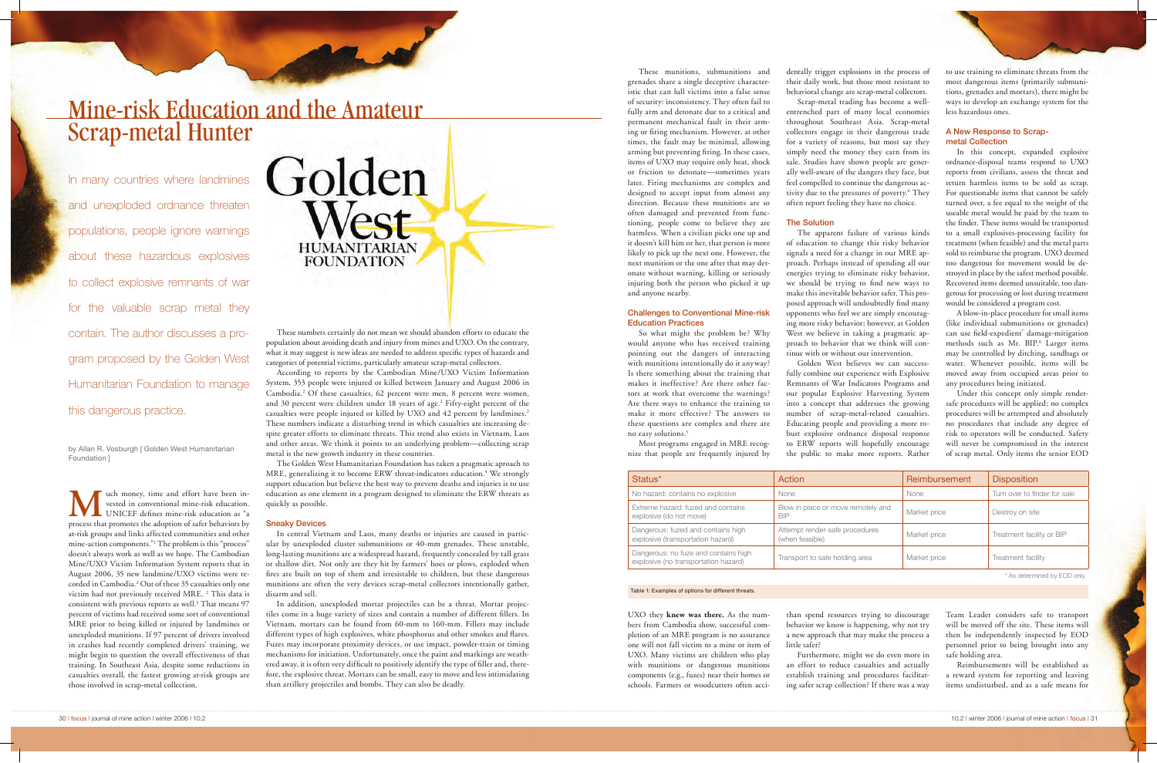uch money, time and effort have been invested in conventional mine-risk education. UNICEF defines mine-risk education as "a process that promotes the adoption of safer behaviors by at-risk groups and links affected communities and other mine-action components."1 The problem is this "process" doesn't always work as well as we hope. The Cambodian Mine/UXO Victim Information System reports that in August 2006, 35 new landmine/UXO victims were recorded in Cambodia.2 Out of these 35 casualties only one victim had not previously received MRE. <sup>2</sup> This data is consistent with previous reports as well.<sup>3</sup> That means 97 percent of victims had received some sort of conventional MRE prior to being killed or injured by landmines or unexploded munitions. If 97 percent of drivers involved in crashes had recently completed drivers' training, we might begin to question the overall effectiveness of that training. In Southeast Asia, despite some reductions in casualties overall, the fastest growing at-risk groups are those involved in scrap-metal collection.



# Mine-risk Education and the Amateur Scrap-metal Hunter

by Allan R. Vosburgh [ Golden West Humanitarian Foundation ]

In many countries where landmines and unexploded ordnance threaten populations, people ignore warnings about these hazardous explosives to collect explosive remnants of war for the valuable scrap metal they contain. The author discusses a program proposed by the Golden West Humanitarian Foundation to manage this dangerous practice.

These numbers certainly do not mean we should abandon efforts to educate the population about avoiding death and injury from mines and UXO. On the contrary, what it may suggest is new ideas are needed to address specific types of hazards and categories of potential victims, particularly amateur scrap-metal collectors.

These munitions, submunitions and grenades share a single deceptive characteristic that can lull victims into a false sense of security: inconsistency. They often fail to fully arm and detonate due to a critical and permanent mechanical fault in their arming or firing mechanism. However, at other times, the fault may be minimal, allowing arming but preventing firing. In these cases, items of UXO may require only heat, shock or friction to detonate—sometimes years later. Firing mechanisms are complex and designed to accept input from almost any direction. Because these munitions are so often damaged and prevented from functioning, people come to believe they are harmless. When a civilian picks one up and it doesn't kill him or her, that person is more likely to pick up the next one. However, the next munition or the one after that may detonate without warning, killing or seriously injuring both the person who picked it up and anyone nearby.

According to reports by the Cambodian Mine/UXO Victim Information System, 353 people were injured or killed between January and August 2006 in Cambodia.2 Of these casualties, 62 percent were men, 8 percent were women, and 30 percent were children under 18 years of age.2 Fifty-eight percent of the casualties were people injured or killed by UXO and 42 percent by landmines.2 These numbers indicate a disturbing trend in which casualties are increasing despite greater efforts to eliminate threats. This trend also exists in Vietnam, Laos and other areas. We think it points to an underlying problem—collecting scrap metal is the new growth industry in these countries.

The Golden West Humanitarian Foundation has taken a pragmatic aproach to MRE, generalizing it to become ERW threat-indicators education.<sup>4</sup> We strongly support education but believe the best way to prevent deaths and injuries is to use education as one element in a program designed to eliminate the ERW threats as quickly as possible.

## Sneaky Devices

In central Vietnam and Laos, many deaths or injuries are caused in particular by unexploded cluster submunitions or 40-mm grenades. These unstable, long-lasting munitions are a widespread hazard, frequently concealed by tall grass or shallow dirt. Not only are they hit by farmers' hoes or plows, exploded when fires are built on top of them and irresistable to children, but these dangerous munitions are often the very devices scrap-metal collectors intentionally gather, disarm and sell.

In addition, unexploded mortar projectiles can be a threat. Mortar projectiles come in a huge variety of sizes and contain a number of different fillers. In Vietnam, mortars can be found from 60-mm to 160-mm. Fillers may include different types of high explosives, white phosphorus and other smokes and flares. Fuzes may incorporate proximity devices, or use impact, powder-train or timing mechanisms for initiation. Unfortunately, once the paint and markings are weathered away, it is often very difficult to positively identify the type of filler and, therefore, the explosive threat. Mortars can be small, easy to move and less intimidating than artillery projectiles and bombs. They can also be deadly.

A blow-in-place procedure for small items (like individual submunitions or grenades) can use field-expedient<sup>7</sup> damage-mitigation methods such as Mr. BIP.<sup>8</sup> Larger items may be controlled by ditching, sandbags or water. Whenever possible, items will be moved away from occupied areas prior to any procedures being initiated.

# Challenges to Conventional Mine-risk Education Practices

So what might the problem be? Why would anyone who has received training pointing out the dangers of interacting with munitions intentionally do it anyway? Is there something about the training that makes it ineffective? Are there other factors at work that overcome the warnings? Are there ways to enhance the training to make it more effective? The answers to these questions are complex and there are no easy solutions.5

Most programs engaged in MRE recognize that people are frequently injured by

UXO they **knew was there.** As the numbers from Cambodia show, successful completion of an MRE program is no assurance one will not fall victim to a mine or item of UXO. Many victims are children who play with munitions or dangerous munitions components (e.g., fuzes) near their homes or schools. Farmers or woodcutters often acci-

dentally trigger explosions in the process of their daily work, but those most resistant to behavioral change are scrap-metal collectors. Scrap-metal trading has become a wellentrenched part of many local economies throughout Southeast Asia. Scrap-metal collectors engage in their dangerous trade for a variety of reasons, but most say they simply need the money they earn from its sale. Studies have shown people are generally well-aware of the dangers they face, but feel compelled to continue the dangerous activity due to the pressures of poverty.<sup>6</sup> They often report feeling they have no choice.

#### The Solution

The apparent failure of various kinds of education to change this risky behavior signals a need for a change in our MRE approach. Perhaps instead of spending all our energies trying to eliminate risky behavior, we should be trying to find new ways to makethis inevitable behavior safer. This proposed approach will undoubtedly find many opponents who feel we are simply encouraging more risky behavior; however, at Golden West we believe in taking a pragmatic approach to behavior that we think will continue with or without our intervention.

Golden West believes we can successfully combine our experience with Explosive Remnants of War Indicators Programs and our popular Explosive Harvesting System into a concept that addresses the growing number of scrap-metal-related casualties. Educating people and providing a more robust explosive ordnance disposal response to ERW reports will hopefully encourage the public to make more reports. Rather

than spend resources trying to discourage behavior we know is happening, why not try a new approach that may make the process a

little safer?

Furthermore, might we do even more in an effort to reduce casualties and actually establish training and procedures facilitating safer scrap collection? If there was a way to use training to eliminate threats from the most dangerous items (primarily submunitions, grenades and mortars), there might be ways to develop an exchange system for the less hazardous ones.

# A New Response to Scrapmetal Collection

In this concept, expanded explosive ordnance-disposal teams respond to UXO reports from civilians, assess the threat and return harmless items to be sold as scrap. For questionable items that cannot be safely turned over, a fee equal to the weight of the useable metal would be paid by the team to the finder. These items would be transported to a small explosives-processing facility for treatment (when feasible) and the metal parts sold to reimburse the program. UXO deemed too dangerous for movement would be destroyed in place by the safest method possible. Recovered items deemed unsuitable, too dangerous for processing or lost during treatment would be considered a program cost.

Under this concept only simple rendersafe procedures will be applied; no complex procedures will be attempted and absolutely no procedures that include any degree of risk to operators will be conducted. Safety will never be compromised in the interest of scrap metal. Only items the senior EOD

Team Leader considers safe to transport will be moved off the site. These items will then be independently inspected by EOD personnel prior to being brought into any safe holding area.

Reimbursements will be established as a reward system for reporting and leaving items undisturbed, and as a safe means for

\* As determined by EOD only.

| Status*                                                                      | Action                                            | Reimbursement | <b>Disposition</b>           |
|------------------------------------------------------------------------------|---------------------------------------------------|---------------|------------------------------|
| No hazard: contains no explosive                                             | None                                              | None          | Turn over to finder for sale |
| Extreme hazard: fuzed and contains<br>explosive (do not move)                | Blow in place or move remotely and<br><b>BIP</b>  | Market price  | Destroy on site              |
| Dangerous: fuzed and contains high<br>explosive (transportation hazard)      | Attempt render-safe procedures<br>(when feasible) | Market price  | Treatment facility or BIP    |
| Dangerous: no fuze and contains high<br>explosive (no transportation hazard) | Transport to safe holding area                    | Market price  | Treatment facility           |

## Table 1: Examples of options for different threats.